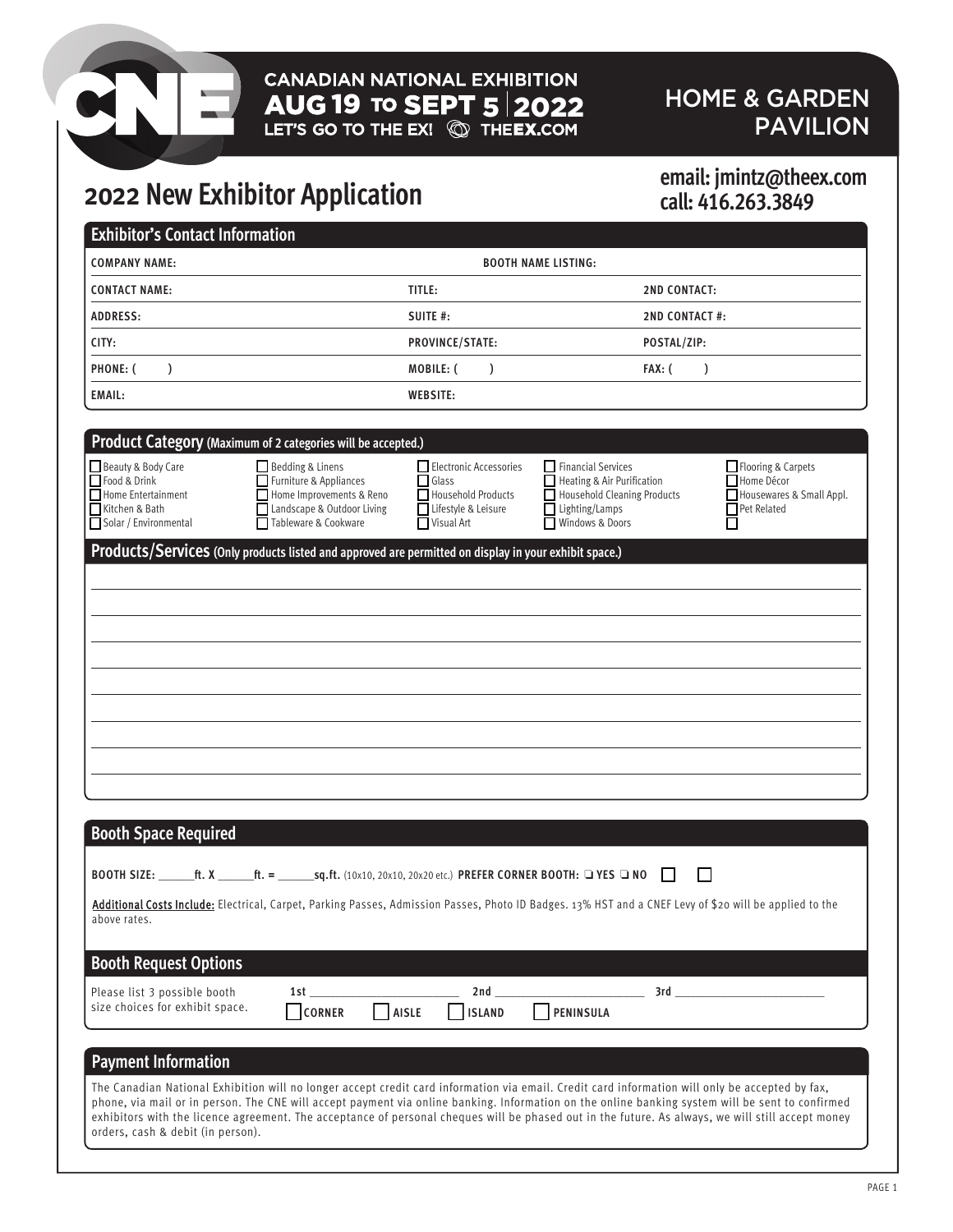# **CANADIAN NATIONAL EXHIBITION** AUG 19 TO SEPT  $5|2022$ <br>LET'S GO TO THE EX!  $\circledR$  The EX.COM

### HOME & GARDEN PAVILION

# **2022 New Exhibitor Application email: jmintz@theex.com**

# **call: 416.263.3849**

| TITLE:<br><b>CONTACT NAME:</b><br><b>2ND CONTACT:</b><br>SUITE #:<br><b>2ND CONTACT#:</b><br><b>ADDRESS:</b><br>CITY:<br>PROVINCE/STATE:<br>POSTAL/ZIP:<br>MOBILE: (<br>$FAX:$ (<br>$\mathcal{L}$<br>$\mathcal{L}$<br>$\lambda$<br><b>WEBSITE:</b><br>Product Category (Maximum of 2 categories will be accepted.)<br>Bedding & Linens<br>Electronic Accessories<br>$\Box$ Financial Services<br>Flooring & Carpets<br>Furniture & Appliances<br>Glass<br>Heating & Air Purification<br>Home Décor<br>Home Improvements & Reno<br>Household Products<br>Household Cleaning Products<br>Housewares & Small Appl.<br>Landscape & Outdoor Living<br>Lifestyle & Leisure<br>$\Box$ Lighting/Lamps<br>$\Box$ Pet Related<br>Tableware & Cookware<br>Visual Art<br>Windows & Doors<br>⊔<br>Products/Services (Only products listed and approved are permitted on display in your exhibit space.)<br><b>Booth Space Required</b> | <b>COMPANY NAME:</b>                                                           |               |               | <b>BOOTH NAME LISTING:</b> |  |
|---------------------------------------------------------------------------------------------------------------------------------------------------------------------------------------------------------------------------------------------------------------------------------------------------------------------------------------------------------------------------------------------------------------------------------------------------------------------------------------------------------------------------------------------------------------------------------------------------------------------------------------------------------------------------------------------------------------------------------------------------------------------------------------------------------------------------------------------------------------------------------------------------------------------------|--------------------------------------------------------------------------------|---------------|---------------|----------------------------|--|
|                                                                                                                                                                                                                                                                                                                                                                                                                                                                                                                                                                                                                                                                                                                                                                                                                                                                                                                           |                                                                                |               |               |                            |  |
|                                                                                                                                                                                                                                                                                                                                                                                                                                                                                                                                                                                                                                                                                                                                                                                                                                                                                                                           |                                                                                |               |               |                            |  |
|                                                                                                                                                                                                                                                                                                                                                                                                                                                                                                                                                                                                                                                                                                                                                                                                                                                                                                                           |                                                                                |               |               |                            |  |
|                                                                                                                                                                                                                                                                                                                                                                                                                                                                                                                                                                                                                                                                                                                                                                                                                                                                                                                           | PHONE: (                                                                       |               |               |                            |  |
|                                                                                                                                                                                                                                                                                                                                                                                                                                                                                                                                                                                                                                                                                                                                                                                                                                                                                                                           | EMAIL:                                                                         |               |               |                            |  |
|                                                                                                                                                                                                                                                                                                                                                                                                                                                                                                                                                                                                                                                                                                                                                                                                                                                                                                                           |                                                                                |               |               |                            |  |
|                                                                                                                                                                                                                                                                                                                                                                                                                                                                                                                                                                                                                                                                                                                                                                                                                                                                                                                           | Beauty & Body Care                                                             |               |               |                            |  |
|                                                                                                                                                                                                                                                                                                                                                                                                                                                                                                                                                                                                                                                                                                                                                                                                                                                                                                                           | ■Food & Drink<br>Home Entertainment<br>Kitchen & Bath<br>Solar / Environmental |               |               |                            |  |
|                                                                                                                                                                                                                                                                                                                                                                                                                                                                                                                                                                                                                                                                                                                                                                                                                                                                                                                           |                                                                                |               |               |                            |  |
|                                                                                                                                                                                                                                                                                                                                                                                                                                                                                                                                                                                                                                                                                                                                                                                                                                                                                                                           |                                                                                |               |               |                            |  |
|                                                                                                                                                                                                                                                                                                                                                                                                                                                                                                                                                                                                                                                                                                                                                                                                                                                                                                                           |                                                                                |               |               |                            |  |
|                                                                                                                                                                                                                                                                                                                                                                                                                                                                                                                                                                                                                                                                                                                                                                                                                                                                                                                           |                                                                                |               |               |                            |  |
|                                                                                                                                                                                                                                                                                                                                                                                                                                                                                                                                                                                                                                                                                                                                                                                                                                                                                                                           |                                                                                |               |               |                            |  |
|                                                                                                                                                                                                                                                                                                                                                                                                                                                                                                                                                                                                                                                                                                                                                                                                                                                                                                                           |                                                                                |               |               |                            |  |
|                                                                                                                                                                                                                                                                                                                                                                                                                                                                                                                                                                                                                                                                                                                                                                                                                                                                                                                           |                                                                                |               |               |                            |  |
|                                                                                                                                                                                                                                                                                                                                                                                                                                                                                                                                                                                                                                                                                                                                                                                                                                                                                                                           |                                                                                |               |               |                            |  |
|                                                                                                                                                                                                                                                                                                                                                                                                                                                                                                                                                                                                                                                                                                                                                                                                                                                                                                                           |                                                                                |               |               |                            |  |
|                                                                                                                                                                                                                                                                                                                                                                                                                                                                                                                                                                                                                                                                                                                                                                                                                                                                                                                           |                                                                                |               |               |                            |  |
|                                                                                                                                                                                                                                                                                                                                                                                                                                                                                                                                                                                                                                                                                                                                                                                                                                                                                                                           |                                                                                |               |               |                            |  |
|                                                                                                                                                                                                                                                                                                                                                                                                                                                                                                                                                                                                                                                                                                                                                                                                                                                                                                                           |                                                                                |               |               |                            |  |
|                                                                                                                                                                                                                                                                                                                                                                                                                                                                                                                                                                                                                                                                                                                                                                                                                                                                                                                           |                                                                                |               |               |                            |  |
|                                                                                                                                                                                                                                                                                                                                                                                                                                                                                                                                                                                                                                                                                                                                                                                                                                                                                                                           |                                                                                |               |               |                            |  |
| $\perp$                                                                                                                                                                                                                                                                                                                                                                                                                                                                                                                                                                                                                                                                                                                                                                                                                                                                                                                   |                                                                                |               |               |                            |  |
| Additional Costs Include: Electrical, Carpet, Parking Passes, Admission Passes, Photo ID Badges. 13% HST and a CNEF Levy of \$20 will be applied to the                                                                                                                                                                                                                                                                                                                                                                                                                                                                                                                                                                                                                                                                                                                                                                   |                                                                                |               |               |                            |  |
| above rates.                                                                                                                                                                                                                                                                                                                                                                                                                                                                                                                                                                                                                                                                                                                                                                                                                                                                                                              | <b>Booth Request Options</b>                                                   |               |               |                            |  |
|                                                                                                                                                                                                                                                                                                                                                                                                                                                                                                                                                                                                                                                                                                                                                                                                                                                                                                                           | Please list 3 possible booth                                                   | 1st           | 2nd           | 3rd                        |  |
|                                                                                                                                                                                                                                                                                                                                                                                                                                                                                                                                                                                                                                                                                                                                                                                                                                                                                                                           |                                                                                | <b>CORNER</b> | <b>ISLAND</b> | PENINSULA                  |  |
| size choices for exhibit space.<br>AISLE                                                                                                                                                                                                                                                                                                                                                                                                                                                                                                                                                                                                                                                                                                                                                                                                                                                                                  |                                                                                |               |               |                            |  |
|                                                                                                                                                                                                                                                                                                                                                                                                                                                                                                                                                                                                                                                                                                                                                                                                                                                                                                                           |                                                                                |               |               |                            |  |
|                                                                                                                                                                                                                                                                                                                                                                                                                                                                                                                                                                                                                                                                                                                                                                                                                                                                                                                           |                                                                                |               |               |                            |  |
| The Canadian National Exhibition will no longer accept credit card information via email. Credit card information will only be accepted by fax,                                                                                                                                                                                                                                                                                                                                                                                                                                                                                                                                                                                                                                                                                                                                                                           | <b>Payment Information</b>                                                     |               |               |                            |  |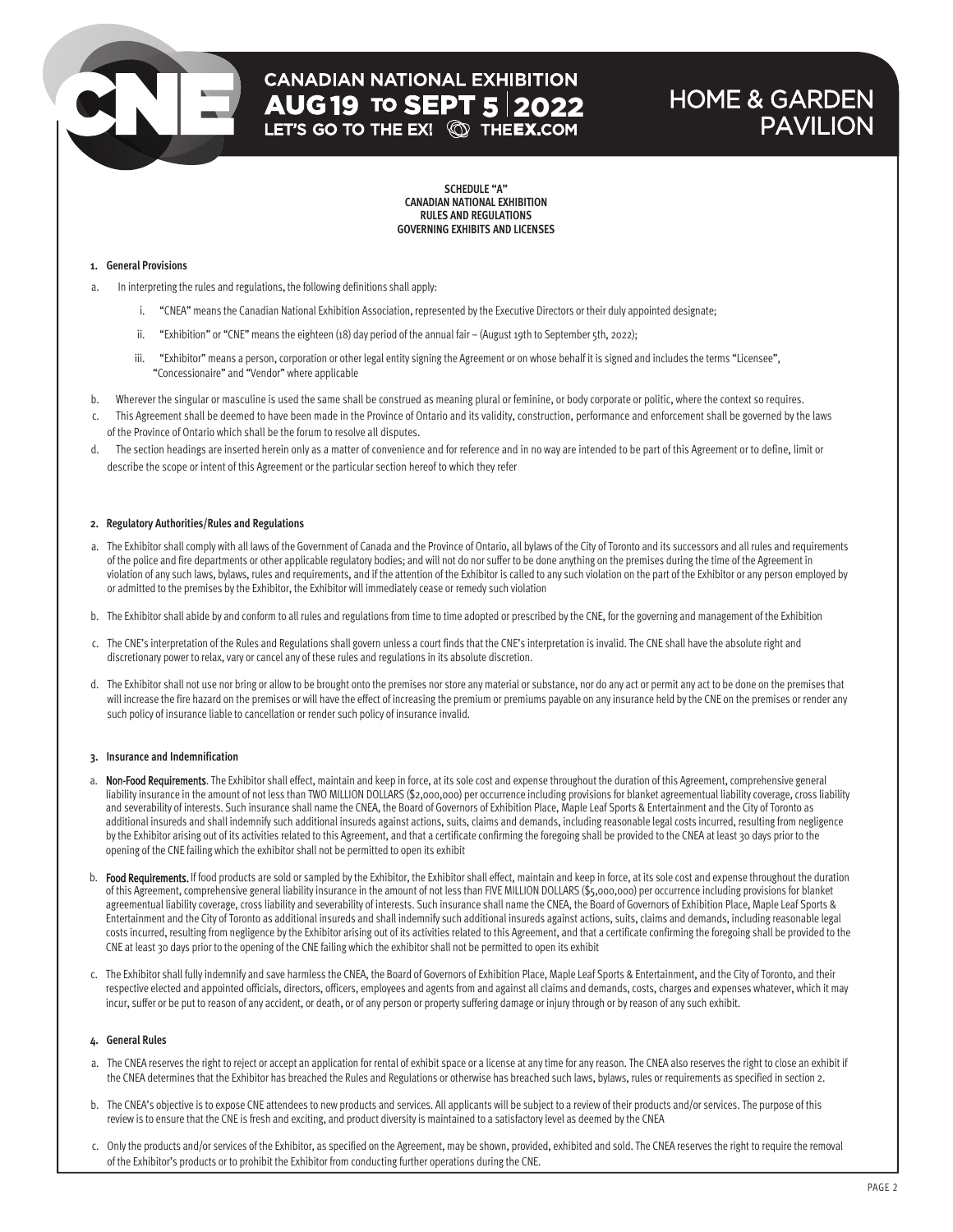# **CANADIAN NATIONAL EXHIBITION AUG 19 TO SEPT 5 2022**<br>LET'S GO TO THE EX! **@ THEEX.COM**

### HOME & GARDEN **PAVILION**

**SCHEDULE "A" CANADIAN NATIONAL EXHIBITION RULES AND REGULATIONS GOVERNING EXHIBITS AND LICENSES**

#### **1. General Provisions**

- a. In interpreting the rules and regulations, the following definitions shall apply:
	- i. "CNEA" means the Canadian National Exhibition Association, represented by the Executive Directors or their duly appointed designate;
	- ii. "Exhibition" or "CNE" means the eighteen (18) day period of the annual fair (August 19th to September 5th, 2022);
	- iii. "Exhibitor" means a person, corporation or other legal entity signing the Agreement or on whose behalf it is signed and includes the terms "Licensee", "Concessionaire" and "Vendor" where applicable
- b. Wherever the singular or masculine is used the same shall be construed as meaning plural or feminine, or body corporate or politic, where the context so requires.
- c. This Agreement shall be deemed to have been made in the Province of Ontario and its validity, construction, performance and enforcement shall be governed by the laws of the Province of Ontario which shall be the forum to resolve all disputes.
- d. The section headings are inserted herein only as a matter of convenience and for reference and in no way are intended to be part of this Agreement or to define, limit or describe the scope or intent of this Agreement or the particular section hereof to which they refer

#### **2. Regulatory Authorities/Rules and Regulations**

- a. The Exhibitor shall comply with all laws of the Government of Canada and the Province of Ontario, all bylaws of the City of Toronto and its successors and all rules and requirements of the police and fire departments or other applicable regulatory bodies; and will not do nor suffer to be done anything on the premises during the time of the Agreement in violation of any such laws, bylaws, rules and requirements, and if the attention of the Exhibitor is called to any such violation on the part of the Exhibitor or any person employed by or admitted to the premises by the Exhibitor, the Exhibitor will immediately cease or remedy such violation
- b. The Exhibitor shall abide by and conform to all rules and regulations from time to time adopted or prescribed by the CNE, for the governing and management of the Exhibition
- c. The CNE's interpretation of the Rules and Regulations shall govern unless a court finds that the CNE's interpretation is invalid. The CNE shall have the absolute right and discretionary power to relax, vary or cancel any of these rules and regulations in its absolute discretion.
- d. The Exhibitor shall not use nor bring or allow to be brought onto the premises nor store any material or substance, nor do any act or permit any act to be done on the premises that will increase the fire hazard on the premises or will have the effect of increasing the premium or premiums payable on any insurance held by the CNE on the premises or render any such policy of insurance liable to cancellation or render such policy of insurance invalid.

#### **3. Insurance and Indemnification**

- a. Non-Food Requirements. The Exhibitor shall effect, maintain and keep in force, at its sole cost and expense throughout the duration of this Agreement, comprehensive general liability insurance in the amount of not less than TWO MILLION DOLLARS (\$2,000,000) per occurrence including provisions for blanket agreementual liability coverage, cross liability and severability of interests. Such insurance shall name the CNEA, the Board of Governors of Exhibition Place, Maple Leaf Sports & Entertainment and the City of Toronto as additional insureds and shall indemnify such additional insureds against actions, suits, claims and demands, including reasonable legal costs incurred, resulting from negligence by the Exhibitor arising out of its activities related to this Agreement, and that a certificate confirming the foregoing shall be provided to the CNEA at least 30 days prior to the opening of the CNE failing which the exhibitor shall not be permitted to open its exhibit
- b. Food Requirements. If food products are sold or sampled by the Exhibitor, the Exhibitor shall effect, maintain and keep in force, at its sole cost and expense throughout the duration of this Agreement, comprehensive general liability insurance in the amount of not less than FIVE MILLION DOLLARS (\$5,000,000) per occurrence including provisions for blanket agreementual liability coverage, cross liability and severability of interests. Such insurance shall name the CNEA, the Board of Governors of Exhibition Place, Maple Leaf Sports & Entertainment and the City of Toronto as additional insureds and shall indemnify such additional insureds against actions, suits, claims and demands, including reasonable legal costs incurred, resulting from negligence by the Exhibitor arising out of its activities related to this Agreement, and that a certificate confirming the foregoing shall be provided to the CNE at least 30 days prior to the opening of the CNE failing which the exhibitor shall not be permitted to open its exhibit
- c. The Exhibitor shall fully indemnify and save harmless the CNEA, the Board of Governors of Exhibition Place, Maple Leaf Sports & Entertainment, and the City of Toronto, and their respective elected and appointed officials, directors, officers, employees and agents from and against all claims and demands, costs, charges and expenses whatever, which it may incur, suffer or be put to reason of any accident, or death, or of any person or property suffering damage or injury through or by reason of any such exhibit.

#### **4. General Rules**

- a. The CNEA reserves the right to reject or accept an application for rental of exhibit space or a license at any time for any reason. The CNEA also reserves the right to close an exhibit if the CNEA determines that the Exhibitor has breached the Rules and Regulations or otherwise has breached such laws, bylaws, rules or requirements as specified in section 2.
- b. The CNEA's objective is to expose CNE attendees to new products and services. All applicants will be subject to a review of their products and/or services. The purpose of this review is to ensure that the CNE is fresh and exciting, and product diversity is maintained to a satisfactory level as deemed by the CNEA
- c. Only the products and/or services of the Exhibitor, as specified on the Agreement, may be shown, provided, exhibited and sold. The CNEA reserves the right to require the removal of the Exhibitor's products or to prohibit the Exhibitor from conducting further operations during the CNE.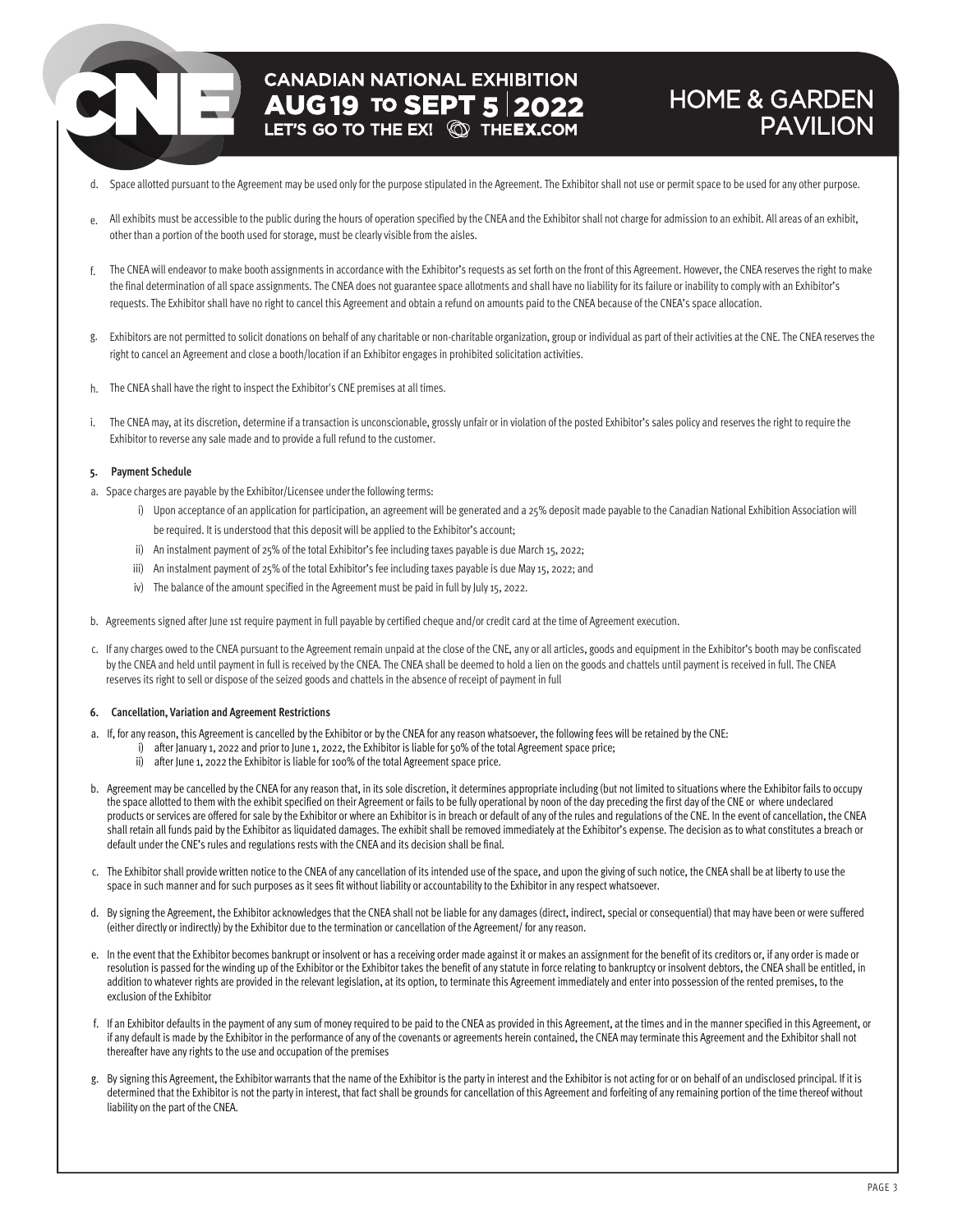# **CANADIAN NATIONAL EXHIBITION AUG 19 TO SEPT 5 2022**

### HOME & GARDEN PAVILION

- d. Space allotted pursuant to the Agreement may be used only for the purpose stipulated in the Agreement. The Exhibitor shall not use or permit space to be used for any other purpose.
- e. All exhibits must be accessible to the public during the hours of operation specified by the CNEA and the Exhibitor shall not charge for admission to an exhibit. All areas of an exhibit, other than a portion of the booth used for storage, must be clearly visible from the aisles.
- f. The CNEA will endeavor to make booth assignments in accordance with the Exhibitor's requests as set forth on the front of this Agreement. However, the CNEA reserves the right to make the final determination of all space assignments. The CNEA does not guarantee space allotments and shall have no liability for its failure or inability to comply with an Exhibitor's requests. The Exhibitor shall have no right to cancel this Agreement and obtain a refund on amounts paid to the CNEA because of the CNEA's space allocation.
- g. Exhibitors are not permitted to solicit donations on behalf of any charitable or non-charitable organization, group or individual as part of their activities at the CNE. The CNEA reserves the right to cancel an Agreement and close a booth/location if an Exhibitor engages in prohibited solicitation activities.
- h. The CNEA shall have the right to inspect the Exhibitor's CNE premises at all times.
- i. The CNEA may, at its discretion, determine if a transaction is unconscionable, grossly unfair or in violation of the posted Exhibitor's sales policy and reserves the right to require the Exhibitor to reverse any sale made and to provide a full refund to the customer.

#### **5. Payment Schedule**

- a. Space charges are payable by the Exhibitor/Licensee underthe following terms:
	- i) Upon acceptance of an application for participation, an agreement will be generated and a 25% deposit made payable to the Canadian National Exhibition Association will be required. It is understood that this deposit will be applied to the Exhibitor's account;
	- ii) An instalment payment of 25% of the total Exhibitor's fee including taxes payable is due March 15, 2022;
	- iii) An instalment payment of 25% of the total Exhibitor's fee including taxes payable is due May 15, 2022; and
	- iv) The balance of the amount specified in the Agreement must be paid in full by July 15, 2022.
- b. Agreements signed after June 1st require payment in full payable by certified cheque and/or credit card at the time of Agreement execution.
- c. If any charges owed to the CNEA pursuant to the Agreement remain unpaid at the close of the CNE, any or all articles, goods and equipment in the Exhibitor's booth may be confiscated by the CNEA and held until payment in full is received by the CNEA. The CNEA shall be deemed to hold a lien on the goods and chattels until payment is received in full. The CNEA reserves its right to sell or dispose of the seized goods and chattels in the absence of receipt of payment in full

#### **6. Cancellation, Variation and Agreement Restrictions**

- a. If, for any reason, this Agreement is cancelled by the Exhibitor or by the CNEA for any reason whatsoever, the following fees will be retained by the CNE:
	- i) after January 1, 2022 and prior to June 1, 2022, the Exhibitor is liable for 50% of the total Agreement space price;
		- ii) after June 1, 2022 the Exhibitor is liable for 100% of the total Agreement space price.
- b. Agreement may be cancelled by the CNEA for any reason that, in its sole discretion, it determines appropriate including (but not limited to situations where the Exhibitor fails to occupy the space allotted to them with the exhibit specified on their Agreement or fails to be fully operational by noon of the day preceding the first day of the CNE or where undeclared products or services are offered for sale by the Exhibitor or where an Exhibitor is in breach or default of any of the rules and regulations of the CNE. In the event of cancellation, the CNEA shall retain all funds paid by the Exhibitor as liquidated damages. The exhibit shall be removed immediately at the Exhibitor's expense. The decision as to what constitutes a breach or default under the CNE's rules and regulations rests with the CNEA and its decision shall be final.
- c. The Exhibitor shall provide written notice to the CNEA of any cancellation of its intended use of the space, and upon the giving of such notice, the CNEA shall be at liberty to use the space in such manner and for such purposes as it sees fit without liability or accountability to the Exhibitor in any respect whatsoever.
- d. By signing the Agreement, the Exhibitor acknowledges that the CNEA shall not be liable for any damages (direct, indirect, special or consequential) that may have been or were suffered (either directly or indirectly) by the Exhibitor due to the termination or cancellation of the Agreement/ for any reason.
- e. In the event that the Exhibitor becomes bankrupt or insolvent or has a receiving order made against it or makes an assignment for the benefit of its creditors or, if any order is made or resolution is passed for the winding up of the Exhibitor or the Exhibitor takes the benefit of any statute in force relating to bankruptcy or insolvent debtors, the CNEA shall be entitled, in addition to whatever rights are provided in the relevant legislation, at its option, to terminate this Agreement immediately and enter into possession of the rented premises, to the exclusion of the Exhibitor
- f. If an Exhibitor defaults in the payment of any sum of money required to be paid to the CNEA as provided in this Agreement, at the times and in the manner specified in this Agreement, or if any default is made by the Exhibitor in the performance of any of the covenants or agreements herein contained, the CNEA may terminate this Agreement and the Exhibitor shall not thereafter have any rights to the use and occupation of the premises
- g. By signing this Agreement, the Exhibitor warrants that the name of the Exhibitor is the party in interest and the Exhibitor is not acting for or on behalf of an undisclosed principal. If it is determined that the Exhibitor is not the party in interest, that fact shall be grounds for cancellation of this Agreement and forfeiting of any remaining portion of the time thereof without liability on the part of the CNEA.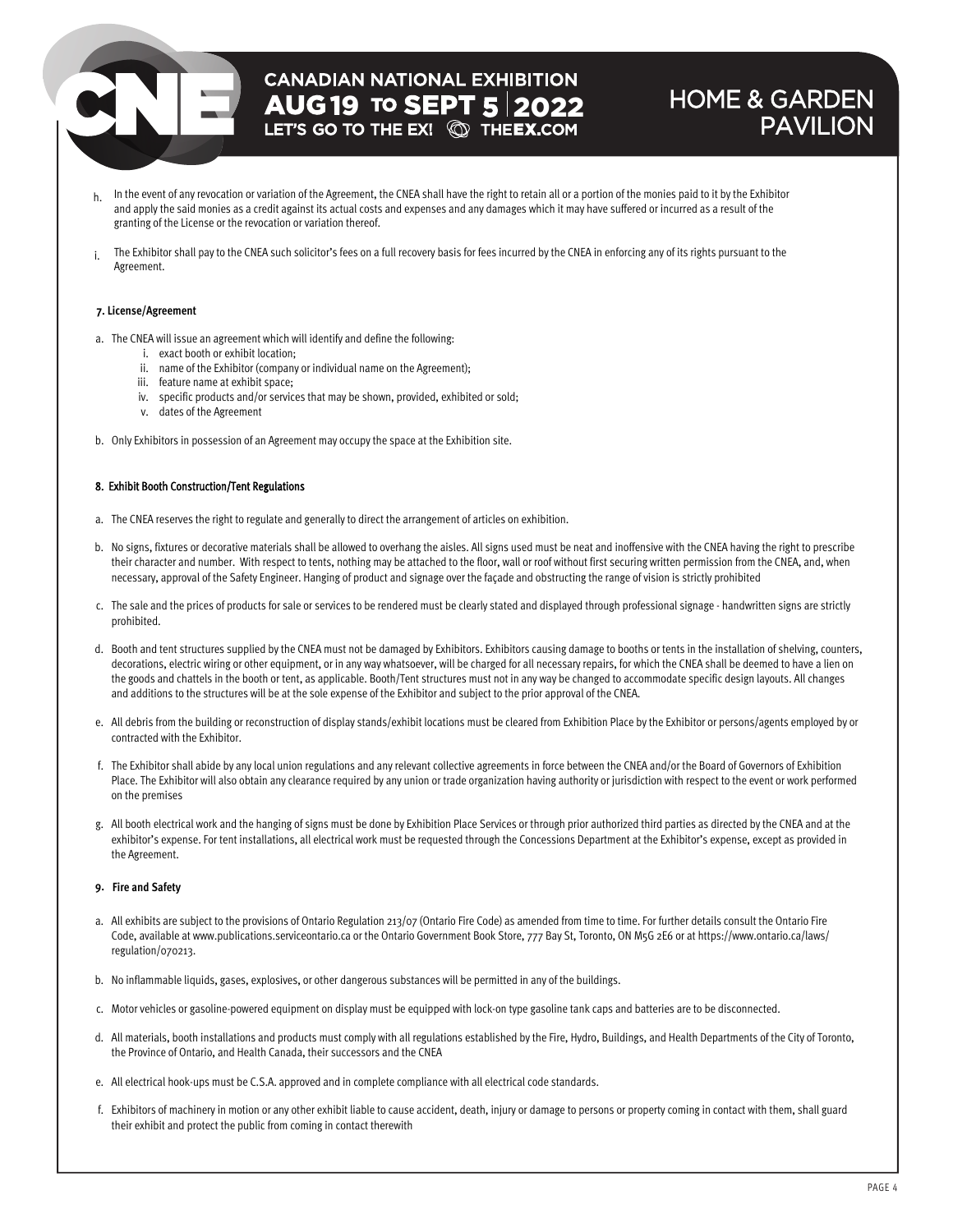# **CANADIAN NATIONAL EXHIBITION AUG 19 TO SEPT 5 2022**<br>LET'S GO TO THE EX! **QD THEEX.COM**

### HOME & GARDEN PAVILION

- h. In the event of any revocation or variation of the Agreement, the CNEA shall have the right to retain all or a portion of the monies paid to it by the Exhibitor and apply the said monies as a credit against its actual costs and expenses and any damages which it may have suffered or incurred as a result of the granting of the License or the revocation or variation thereof.
- i. The Exhibitor shall pay to the CNEA such solicitor's fees on a full recovery basis for fees incurred by the CNEA in enforcing any of its rights pursuant to the Agreement.

#### **7. License/Agreement**

- a. The CNEA will issue an agreement which will identify and define the following:
	- i. exact booth or exhibit location;
	- ii. name of the Exhibitor (company or individual name on the Agreement);
	- iii. feature name at exhibit space;
	- iv. specific products and/or services that may be shown, provided, exhibited or sold;
	- v. dates of the Agreement
- b. Only Exhibitors in possession of an Agreement may occupy the space at the Exhibition site.

#### 8. Exhibit Booth Construction/Tent Regulations

- a. The CNEA reserves the right to regulate and generally to direct the arrangement of articles on exhibition.
- b. No signs, fixtures or decorative materials shall be allowed to overhang the aisles. All signs used must be neat and inoffensive with the CNEA having the right to prescribe their character and number. With respect to tents, nothing may be attached to the floor, wall or roof without first securing written permission from the CNEA, and, when necessary, approval of the Safety Engineer. Hanging of product and signage over the façade and obstructing the range of vision is strictly prohibited
- c. The sale and the prices of products for sale or services to be rendered must be clearly stated and displayed through professional signage handwritten signs are strictly prohibited.
- d. Booth and tent structures supplied by the CNEA must not be damaged by Exhibitors. Exhibitors causing damage to booths or tents in the installation of shelving, counters, decorations, electric wiring or other equipment, or in any way whatsoever, will be charged for all necessary repairs, for which the CNEA shall be deemed to have a lien on the goods and chattels in the booth or tent, as applicable. Booth/Tent structures must not in any way be changed to accommodate specific design layouts. All changes and additions to the structures will be at the sole expense of the Exhibitor and subject to the prior approval of the CNEA.
- e. All debris from the building or reconstruction of display stands/exhibit locations must be cleared from Exhibition Place by the Exhibitor or persons/agents employed by or contracted with the Exhibitor.
- f. The Exhibitor shall abide by any local union regulations and any relevant collective agreements in force between the CNEA and/or the Board of Governors of Exhibition Place. The Exhibitor will also obtain any clearance required by any union or trade organization having authority or jurisdiction with respect to the event or work performed on the premises
- g. All booth electrical work and the hanging of signs must be done by Exhibition Place Services or through prior authorized third parties as directed by the CNEA and at the exhibitor's expense. For tent installations, all electrical work must be requested through the Concessions Department at the Exhibitor's expense, except as provided in the Agreement.

#### **9. Fire and Safety**

- a. All exhibits are subject to the provisions of Ontario Regulation 213/07 (Ontario Fire Code) as amended from time to time. For further details consult the Ontario Fire Code, available at www.publications.serviceontario.ca or the Ontario Government Book Store, 777 Bay St, Toronto, ON M5G 2E6 or at https://www.ontario.ca/laws/ regulation/070213.
- b. No inflammable liquids, gases, explosives, or other dangerous substances will be permitted in any of the buildings.
- c. Motor vehicles or gasoline-powered equipment on display must be equipped with lock-on type gasoline tank caps and batteries are to be disconnected.
- d. All materials, booth installations and products must comply with all regulations established by the Fire, Hydro, Buildings, and Health Departments of the City of Toronto, the Province of Ontario, and Health Canada, their successors and the CNEA
- e. All electrical hook-ups must be C.S.A. approved and in complete compliance with all electrical code standards.
- f. Exhibitors of machinery in motion or any other exhibit liable to cause accident, death, injury or damage to persons or property coming in contact with them, shall guard their exhibit and protect the public from coming in contact therewith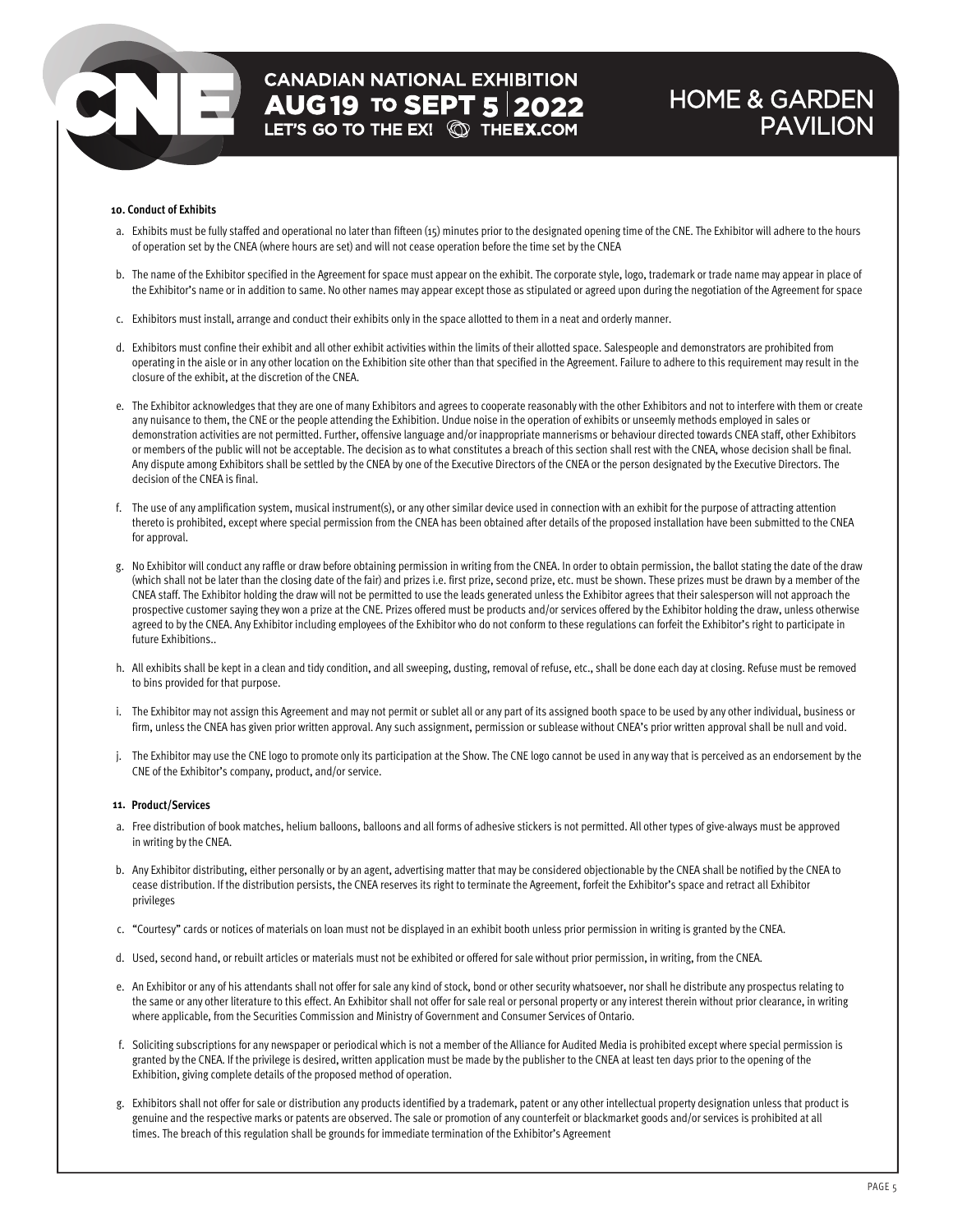# **CANADIAN NATIONAL EXHIBITION AUG19 TO SEPT 5 2022**<br>LET'S GO TO THE EX! **QU** THEEX.COM

### HOME & GARDEN PAVILION

#### **10. Conduct of Exhibits**

- a. Exhibits must be fully staffed and operational no later than fifteen (15) minutes prior to the designated opening time of the CNE. The Exhibitor will adhere to the hours of operation set by the CNEA (where hours are set) and will not cease operation before the time set by the CNEA
- b. The name of the Exhibitor specified in the Agreement for space must appear on the exhibit. The corporate style, logo, trademark or trade name may appear in place of the Exhibitor's name or in addition to same. No other names may appear except those as stipulated or agreed upon during the negotiation of the Agreement for space
- c. Exhibitors must install, arrange and conduct their exhibits only in the space allotted to them in a neat and orderly manner.
- d. Exhibitors must confine their exhibit and all other exhibit activities within the limits of their allotted space. Salespeople and demonstrators are prohibited from operating in the aisle or in any other location on the Exhibition site other than that specified in the Agreement. Failure to adhere to this requirement may result in the closure of the exhibit, at the discretion of the CNEA.
- e. The Exhibitor acknowledges that they are one of many Exhibitors and agrees to cooperate reasonably with the other Exhibitors and not to interfere with them or create any nuisance to them, the CNE or the people attending the Exhibition. Undue noise in the operation of exhibits or unseemly methods employed in sales or demonstration activities are not permitted. Further, offensive language and/or inappropriate mannerisms or behaviour directed towards CNEA staff, other Exhibitors or members of the public will not be acceptable. The decision as to what constitutes a breach of this section shall rest with the CNEA, whose decision shall be final. Any dispute among Exhibitors shall be settled by the CNEA by one of the Executive Directors of the CNEA or the person designated by the Executive Directors. The decision of the CNEA is final.
- f. The use of any amplification system, musical instrument(s), or any other similar device used in connection with an exhibit for the purpose of attracting attention thereto is prohibited, except where special permission from the CNEA has been obtained after details of the proposed installation have been submitted to the CNEA for approval.
- g. No Exhibitor will conduct any raffle or draw before obtaining permission in writing from the CNEA. In order to obtain permission, the ballot stating the date of the draw (which shall not be later than the closing date of the fair) and prizes i.e. first prize, second prize, etc. must be shown. These prizes must be drawn by a member of the CNEA staff. The Exhibitor holding the draw will not be permitted to use the leads generated unless the Exhibitor agrees that their salesperson will not approach the prospective customer saying they won a prize at the CNE. Prizes offered must be products and/or services offered by the Exhibitor holding the draw, unless otherwise agreed to by the CNEA. Any Exhibitor including employees of the Exhibitor who do not conform to these regulations can forfeit the Exhibitor's right to participate in future Exhibitions..
- h. All exhibits shall be kept in a clean and tidy condition, and all sweeping, dusting, removal of refuse, etc., shall be done each day at closing. Refuse must be removed to bins provided for that purpose.
- i. The Exhibitor may not assign this Agreement and may not permit or sublet all or any part of its assigned booth space to be used by any other individual, business or firm, unless the CNEA has given prior written approval. Any such assignment, permission or sublease without CNEA's prior written approval shall be null and void.
- j. The Exhibitor may use the CNE logo to promote only its participation at the Show. The CNE logo cannot be used in any way that is perceived as an endorsement by the CNE of the Exhibitor's company, product, and/or service.

#### **11. Product/Services**

- a. Free distribution of book matches, helium balloons, balloons and all forms of adhesive stickers is not permitted. All other types of give-always must be approved in writing by the CNEA.
- b. Any Exhibitor distributing, either personally or by an agent, advertising matter that may be considered objectionable by the CNEA shall be notified by the CNEA to cease distribution. If the distribution persists, the CNEA reserves its right to terminate the Agreement, forfeit the Exhibitor's space and retract all Exhibitor privileges
- c. "Courtesy" cards or notices of materials on loan must not be displayed in an exhibit booth unless prior permission in writing is granted by the CNEA.
- d. Used, second hand, or rebuilt articles or materials must not be exhibited or offered for sale without prior permission, in writing, from the CNEA.
- e. An Exhibitor or any of his attendants shall not offer for sale any kind of stock, bond or other security whatsoever, nor shall he distribute any prospectus relating to the same or any other literature to this effect. An Exhibitor shall not offer for sale real or personal property or any interest therein without prior clearance, in writing where applicable, from the Securities Commission and Ministry of Government and Consumer Services of Ontario.
- f. Soliciting subscriptions for any newspaper or periodical which is not a member of the Alliance for Audited Media is prohibited except where special permission is granted by the CNEA. If the privilege is desired, written application must be made by the publisher to the CNEA at least ten days prior to the opening of the Exhibition, giving complete details of the proposed method of operation.
- g. Exhibitors shall not offer for sale or distribution any products identified by a trademark, patent or any other intellectual property designation unless that product is genuine and the respective marks or patents are observed. The sale or promotion of any counterfeit or blackmarket goods and/or services is prohibited at all times. The breach of this regulation shall be grounds for immediate termination of the Exhibitor's Agreement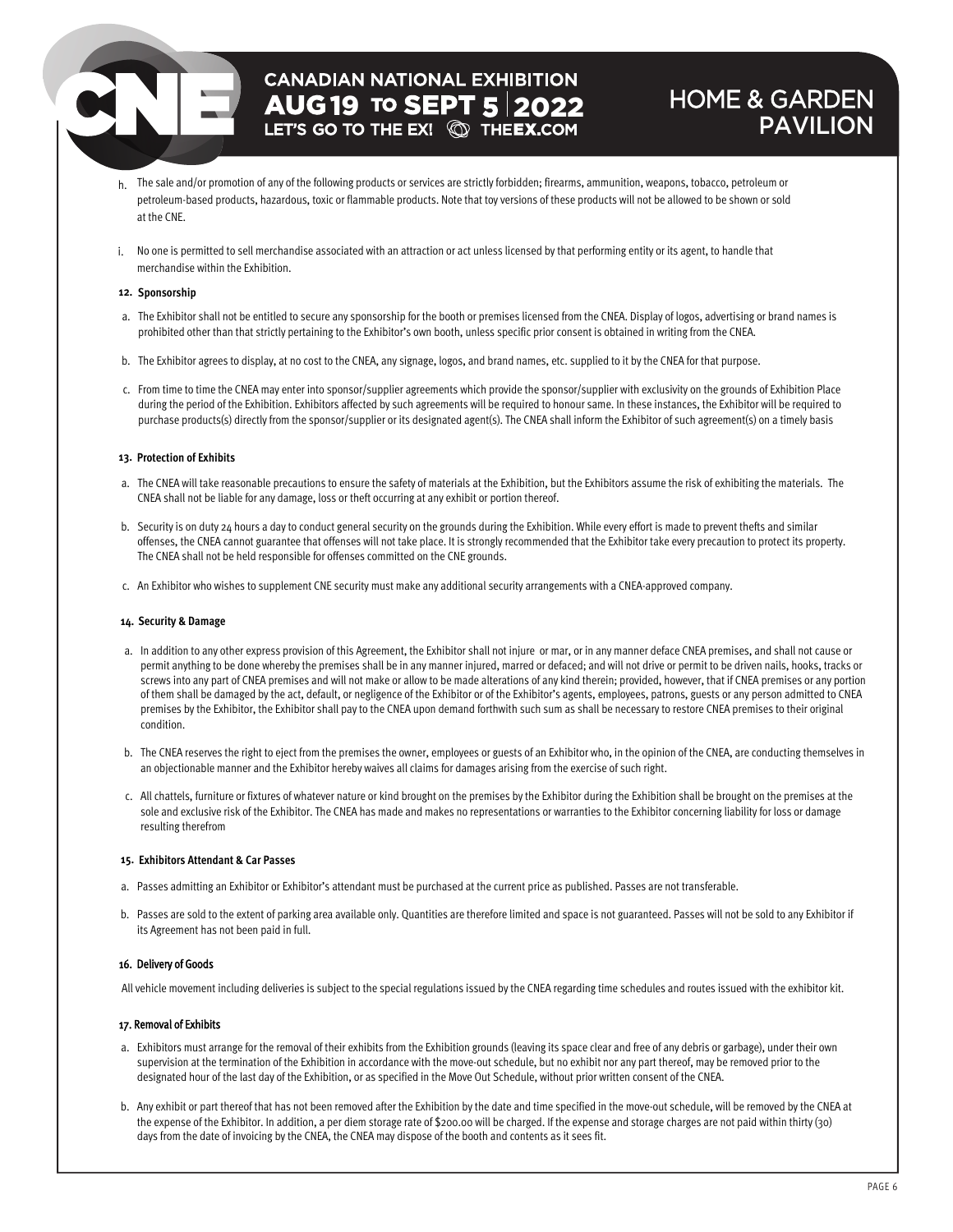## **CANADIAN NATIONAL EXHIBITION AUG 19 TO SEPT 5 2022**

### HOME & GARDEN PAVILION

- h. The sale and/or promotion of any of the following products or services are strictly forbidden; firearms, ammunition, weapons, tobacco, petroleum or petroleum-based products, hazardous, toxic or flammable products. Note that toy versions of these products will not be allowed to be shown or sold at the CNE.
- i. No one is permitted to sell merchandise associated with an attraction or act unless licensed by that performing entity or its agent, to handle that merchandise within the Exhibition.

#### **12. Sponsorship**

- a. The Exhibitor shall not be entitled to secure any sponsorship for the booth or premises licensed from the CNEA. Display of logos, advertising or brand names is prohibited other than that strictly pertaining to the Exhibitor's own booth, unless specific prior consent is obtained in writing from the CNEA.
- b. The Exhibitor agrees to display, at no cost to the CNEA, any signage, logos, and brand names, etc. supplied to it by the CNEA for that purpose.
- c. From time to time the CNEA may enter into sponsor/supplier agreements which provide the sponsor/supplier with exclusivity on the grounds of Exhibition Place during the period of the Exhibition. Exhibitors affected by such agreements will be required to honour same. In these instances, the Exhibitor will be required to purchase products(s) directly from the sponsor/supplier or its designated agent(s). The CNEA shall inform the Exhibitor of such agreement(s) on a timely basis

#### **13. Protection of Exhibits**

- a. The CNEA will take reasonable precautions to ensure the safety of materials at the Exhibition, but the Exhibitors assume the risk of exhibiting the materials. The CNEA shall not be liable for any damage, loss or theft occurring at any exhibit or portion thereof.
- b. Security is on duty 24 hours a day to conduct general security on the grounds during the Exhibition. While every effort is made to prevent thefts and similar offenses, the CNEA cannot guarantee that offenses will not take place. It is strongly recommended that the Exhibitor take every precaution to protect its property. The CNEA shall not be held responsible for offenses committed on the CNE grounds.
- c. An Exhibitor who wishes to supplement CNE security must make any additional security arrangements with a CNEA-approved company.

#### **14. Security & Damage**

- a. In addition to any other express provision of this Agreement, the Exhibitor shall not injure or mar, or in any manner deface CNEA premises, and shall not cause or permit anything to be done whereby the premises shall be in any manner injured, marred or defaced; and will not drive or permit to be driven nails, hooks, tracks or screws into any part of CNEA premises and will not make or allow to be made alterations of any kind therein; provided, however, that if CNEA premises or any portion of them shall be damaged by the act, default, or negligence of the Exhibitor or of the Exhibitor's agents, employees, patrons, guests or any person admitted to CNEA premises by the Exhibitor, the Exhibitor shall pay to the CNEA upon demand forthwith such sum as shall be necessary to restore CNEA premises to their original condition.
- b. The CNEA reserves the right to eject from the premises the owner, employees or guests of an Exhibitor who, in the opinion of the CNEA, are conducting themselves in an objectionable manner and the Exhibitor hereby waives all claims for damages arising from the exercise of such right.
- c. All chattels, furniture or fixtures of whatever nature or kind brought on the premises by the Exhibitor during the Exhibition shall be brought on the premises at the sole and exclusive risk ofthe Exhibitor. The CNEA has made and makes no representations or warranties to the Exhibitor concerning liability for loss or damage resulting therefrom

#### **15. Exhibitors Attendant & Car Passes**

- a. Passes admitting an Exhibitor or Exhibitor's attendant must be purchased at the current price as published. Passes are not transferable.
- b. Passes are sold to the extent of parking area available only. Quantities are therefore limited and space is not guaranteed. Passes will not be sold to any Exhibitor if its Agreement has not been paid in full.

#### 16. Delivery of Goods

All vehicle movement including deliveries is subject to the special regulations issued by the CNEA regarding time schedules and routes issued with the exhibitor kit.

#### 17. Removal of Exhibits

- a. Exhibitors must arrange for the removal of their exhibits from the Exhibition grounds (leaving its space clear and free of any debris or garbage), under their own supervision at the termination of the Exhibition in accordance with the move-out schedule, but no exhibit nor any part thereof, may be removed prior to the designated hour of the last day of the Exhibition, or as specified in the Move Out Schedule, without prior written consent of the CNEA.
- b. Any exhibit or part thereof that has not been removed after the Exhibition by the date and time specified in the move-out schedule, will be removed by the CNEA at the expense of the Exhibitor. In addition, a per diem storage rate of \$200.00 will be charged. If the expense and storage charges are not paid within thirty (30) days from the date of invoicing by the CNEA, the CNEA may dispose of the booth and contents as it sees fit.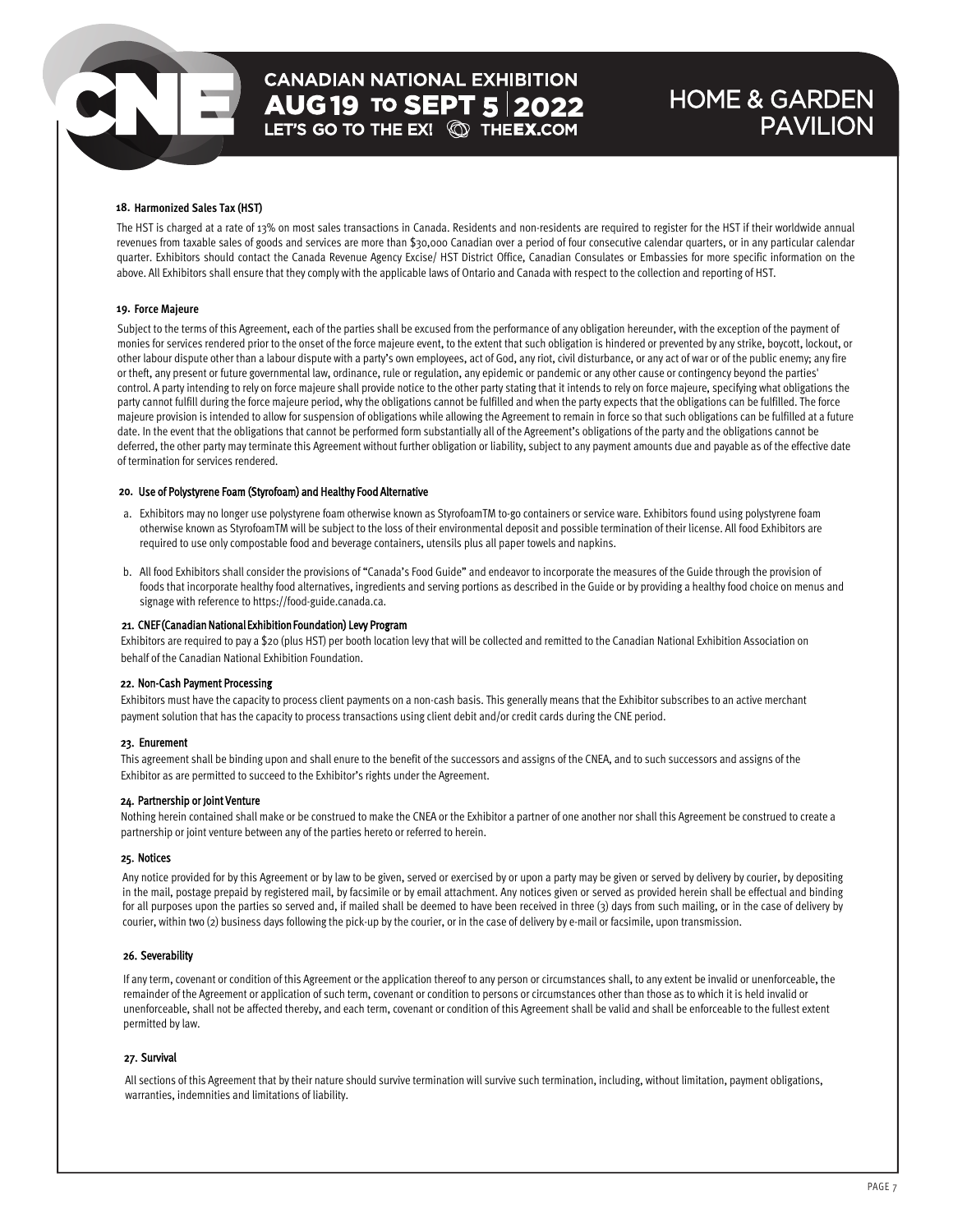# **CANADIAN NATIONAL EXHIBITION AUG 19 TO SEPT 5 2022**<br>LET'S GO TO THE EX! **@ THEEX.COM**

### HOME & GARDEN PAVILION

#### **18. Harmonized Sales Tax (HST)**

The HST is charged at a rate of 13% on most sales transactions in Canada. Residents and non-residents are required to register for the HST if their worldwide annual revenues from taxable sales of goods and services are more than \$30,000 Canadian over a period of four consecutive calendar quarters, or in any particular calendar quarter. Exhibitors should contact the Canada Revenue Agency Excise/ HST District Office, Canadian Consulates or Embassies for more specific information on the above. All Exhibitors shall ensure that they comply with the applicable laws of Ontario and Canada with respect to the collection and reporting of HST.

#### **19. Force Majeure**

Subject to the terms of this Agreement, each of the parties shall be excused from the performance of any obligation hereunder, with the exception of the payment of monies for services rendered prior to the onset of the force majeure event, to the extent that such obligation is hindered or prevented by any strike, boycott, lockout, or other labour dispute other than a labour dispute with a party's own employees, act of God, any riot, civil disturbance, or any act of war or of the public enemy; any fire or theft, any present or future governmental law, ordinance, rule or regulation, any epidemic or pandemic or any other cause or contingency beyond the parties' control. A party intending to rely on force majeure shall provide notice to the other party stating that it intends to rely on force majeure, specifying what obligations the party cannot fulfill during the force majeure period, why the obligations cannot be fulfilled and when the party expects that the obligations can be fulfilled. The force majeure provision is intended to allow for suspension of obligations while allowing the Agreement to remain in force so that such obligations can be fulfilled at a future date. In the event that the obligations that cannot be performed form substantially all of the Agreement's obligations of the party and the obligations cannot be deferred, the other party may terminate this Agreement without further obligation or liability, subject to any payment amounts due and payable as of the effective date of termination for services rendered.

#### 20. Use of Polystyrene Foam (Styrofoam) and Healthy Food Alternative

- a. Exhibitors may no longer use polystyrene foam otherwise known as StyrofoamTM to-go containers or service ware. Exhibitors found using polystyrene foam otherwise known as StyrofoamTM will be subject to the loss of their environmental deposit and possible termination of their license. All food Exhibitors are required to use only compostable food and beverage containers, utensils plus all paper towels and napkins.
- b. All food Exhibitors shall consider the provisions of "Canada's Food Guide" and endeavor to incorporate the measures of the Guide through the provision of foods that incorporate healthy food alternatives, ingredients and serving portions as described in the Guide or by providing a healthy food choice on menus and signage with reference to https://food-guide.canada.ca.

#### 21. CNEF (Canadian National Exhibition Foundation) Levy Program

Exhibitors are required to pay a \$20 (plus HST) per booth location levy that will be collected and remitted to the Canadian National Exhibition Association on behalf of the Canadian National Exhibition Foundation.

#### 22. Non-Cash Payment Processing

Exhibitors must have the capacity to process client payments on a non-cash basis. This generally means that the Exhibitor subscribes to an active merchant payment solution that has the capacity to process transactions using client debit and/or credit cards during the CNE period.

#### 23. Enurement

This agreement shall be binding upon and shall enure to the benefit of the successors and assigns of the CNEA, and to such successors and assigns of the Exhibitor as are permitted to succeed to the Exhibitor's rights under the Agreement.

#### 24. Partnership or Joint Venture

Nothing herein contained shall make or be construed to make the CNEA or the Exhibitor a partner of one another nor shall this Agreement be construed to create a partnership or joint venture between any of the parties hereto or referred to herein.

#### 25. Notices

Any notice provided for by this Agreement or by law to be given, served or exercised by or upon a party may be given or served by delivery by courier, by depositing in the mail, postage prepaid by registered mail, by facsimile or by email attachment. Any notices given or served as provided herein shall be effectual and binding for all purposes upon the parties so served and, if mailed shall be deemed to have been received in three (3) days from such mailing, or in the case of delivery by courier, within two (2) business days following the pick-up by the courier, or in the case of delivery by e-mail or facsimile, upon transmission.

#### 26. Severability

If any term, covenant or condition of this Agreement or the application thereof to any person or circumstances shall, to any extent be invalid or unenforceable, the remainder of the Agreement or application of such term, covenant or condition to persons or circumstances other than those as to which it is held invalid or unenforceable, shall not be affected thereby, and each term, covenant or condition of this Agreement shall be valid and shall be enforceable to the fullest extent permitted by law.

#### 27. Survival

All sections of this Agreement that by their nature should survive termination will survive such termination, including, without limitation, payment obligations, warranties, indemnities and limitations of liability.